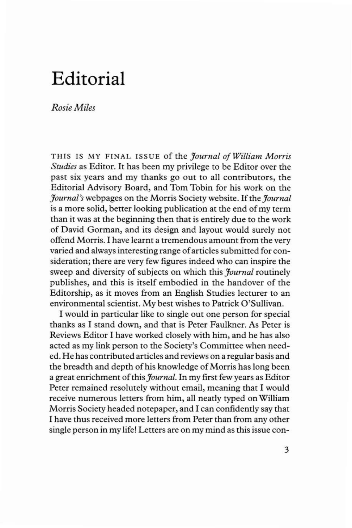## **Editorial**

*RosieMiles*

THIS IS MY FINAL ISSUE of the *Journal of William Morris Studies* as Editor. It has been my privilege to be Editor over the past six years and my thanks go out to all contributors, the Editorial Advisory Board, and Tom Tobin for his work on the *Journal's* webpages on the Morris Society website. If the *Journal* is a more solid, better looking publication at the end of my term than it was at the beginning then that is entirely due to the work of David Gorman, and its design and layout would surely not offend Morris. I have learnt a tremendous amount from the very varied and always interesting range of articles submitted for consideration; there are very few figures indeed who can inspire the sweep and diversity of subjects on which this *Journal* routinely publishes, and this is itself embodied in the handover of the Editorship, as it moves from an English Studies lecturer to an environmental scientist. My best wishes to Patrick O'Sullivan.

I would in particular like to single out one person for special thanks as I stand down, and that is Peter Faulkner. As Peter is Reviews Editor I have worked closely with him, and he has also acted as my link person to the Society's Committee when needed. He has contributed articles and reviews on a regular basis and the breadth and depth of his knowledge of Morris has long been a great enrichment of this *Journal*. In my first few years as Editor Peter remained resolutely without email, meaning that I would receive numerous letters from him, all neatly typed on William Morris Society headed notepaper, and I can confidently say that I have thus received more letters from Peter than from any other single person in my life! Letters are on my mind as this issue con-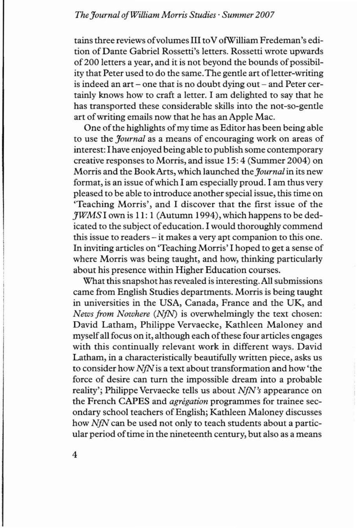## *The Journal ofWilliam Morris Studies' Summer 2007*

tainsthree reviews ofvolumes **III**toV ofWilliam Fredeman's edition of Dante Gabriel Rossetti's letters. Rossetti wrote upwards of 200 letters a year, and it is not beyond the bounds of possibility that Peter used to do the same.The gentle art ofletter-writing is indeed an art – one that is no doubt dying out – and Peter certainly knows how to craft a letter. I am delighted to say that he has transported these considerable skills into the not-so-gentle art of writing emails now that he has an Apple Mac.

One of the highlights of my time as Editor has been being able to use the *Journal* as a means of encouraging work on areas of interest: I have enjoyed being able to publish some contemporary creative responses to Morris, and issue 15: 4 (Summer 2004) on Morris and the BookArts, which launched the *Journal* in its new format, is an issue ofwhich I am especially proud. I am thus very pleased to be able to introduce another special issue, this time on 'Teaching Morris', and I discover that the first issue of the *JWMS* I own is **11:** 1 (Autumn 1994), which happens to be dedicated to the subject of education. I would thoroughly commend this issue to readers - it makes a very apt companion to this one. In inviting articles on 'Teaching Morris' I hoped to get a sense of where Morris was being taught, and how, thinking particularly about his presence within Higher Education courses.

What this snapshot has revealed is interesting. All submissions came from English Studies departments. Morris is being taught in universities in the USA, Canada, France and the UK, and *News from Nowhere (NfN)* is overwhelmingly the text chosen: David Latham, Philippe Vervaecke, Kathleen Maloney and myself all focus on it, although each of these four articles engages with this continually relevant work in different ways. David Latham, in a characteristically beautifully written piece, asks us to consider how *NfN*is a text about transformation and how 'the force of desire can turn the impossible dream into a probable reality'; Philippe Vervaecke tells us about *NfN's* appearance on the French CAPES and *agregation* programmes for trainee secondary school teachers of English; Kathleen Maloney discusses how *NfN* can be used not only to teach students about a particular period of time in the nineteenth century, but also as a means